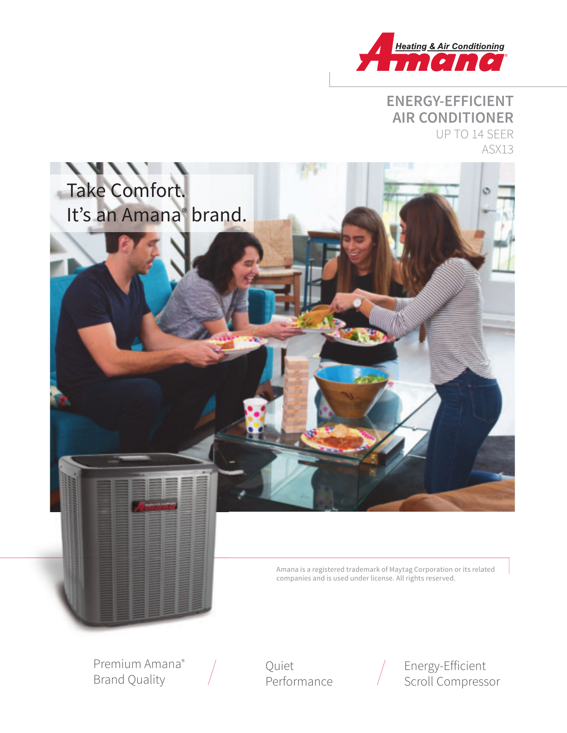

## **ENERGY-EFFICIENT AIR CONDITIONER** UP TO 14 SEER ASX13



Amana is a registered trademark of Maytag Corporation or its related companies and is used under license. All rights reserved.

Premium Amana® Brand Quality

Quiet Performance



Energy-Efficient Scroll Compressor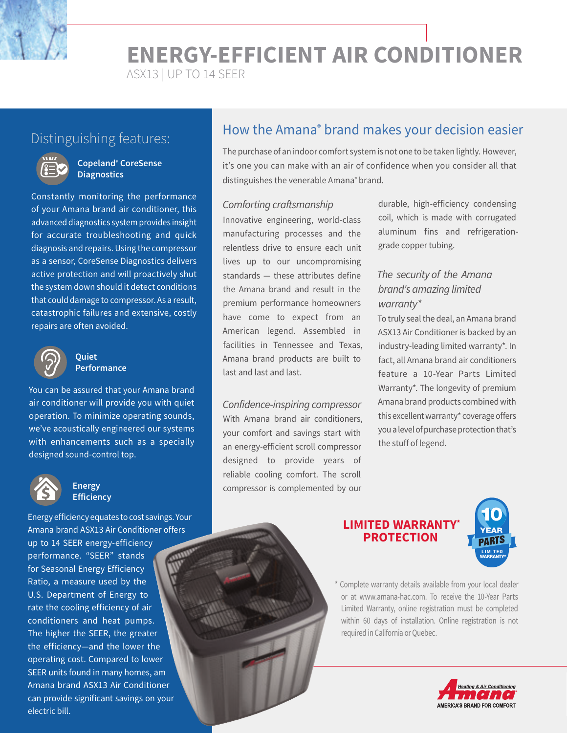**ENERGY-EFFICIENT AIR CONDITIONER**

ASX13 | UP TO 14 SEER



#### **Copeland® CoreSense Diagnostics**

Constantly monitoring the performance of your Amana brand air conditioner, this advanced diagnostics system provides insight for accurate troubleshooting and quick diagnosis and repairs. Using the compressor as a sensor, CoreSense Diagnostics delivers active protection and will proactively shut the system down should it detect conditions that could damage to compressor. As a result, catastrophic failures and extensive, costly repairs are often avoided.



#### **Quiet Performance**

You can be assured that your Amana brand air conditioner will provide you with quiet operation. To minimize operating sounds, we've acoustically engineered our systems with enhancements such as a specially designed sound-control top.



#### **Energy Efficiency**

Energy efficiency equates to cost savings. Your Amana brand ASX13 Air Conditioner offers up to 14 SEER energy-efficiency performance. "SEER" stands for Seasonal Energy Efficiency Ratio, a measure used by the U.S. Department of Energy to rate the cooling efficiency of air conditioners and heat pumps. The higher the SEER, the greater the efficiency—and the lower the operating cost. Compared to lower SEER units found in many homes, am Amana brand ASX13 Air Conditioner can provide significant savings on your electric bill.

# Distinguishing features: **How the Amana<sup>®</sup> brand makes your decision easier** Distinguishing features:

The purchase of an indoor comfort system is not one to be taken lightly. However, it's one you can make with an air of confidence when you consider all that distinguishes the venerable Amana<sup>®</sup> brand.

#### Comforting craftsmanship

Innovative engineering, world-class manufacturing processes and the relentless drive to ensure each unit lives up to our uncompromising standards — these attributes define the Amana brand and result in the premium performance homeowners have come to expect from an American legend. Assembled in facilities in Tennessee and Texas, Amana brand products are built to last and last and last.

Confidence-inspiring compressor With Amana brand air conditioners, your comfort and savings start with an energy-efficient scroll compressor designed to provide years of reliable cooling comfort. The scroll compressor is complemented by our

durable, high-efficiency condensing coil, which is made with corrugated aluminum fins and refrigerationgrade copper tubing.

#### The security of the Amana brand's amazing limited warranty\*

To truly seal the deal, an Amana brand ASX13 Air Conditioner is backed by an industry-leading limited warranty\*. In fact, all Amana brand air conditioners feature a 10-Year Parts Limited Warranty\*. The longevity of premium Amana brand products combined with this excellent warranty\* coverage offers you a level of purchase protection that's the stuff of legend.

#### **LIMITED WARRANTY PROTECTION**



\* Complete warranty details available from your local dealer or at www.amana-hac.com. To receive the 10-Year Parts Limited Warranty, online registration must be completed within 60 days of installation. Online registration is not required in California or Quebec.

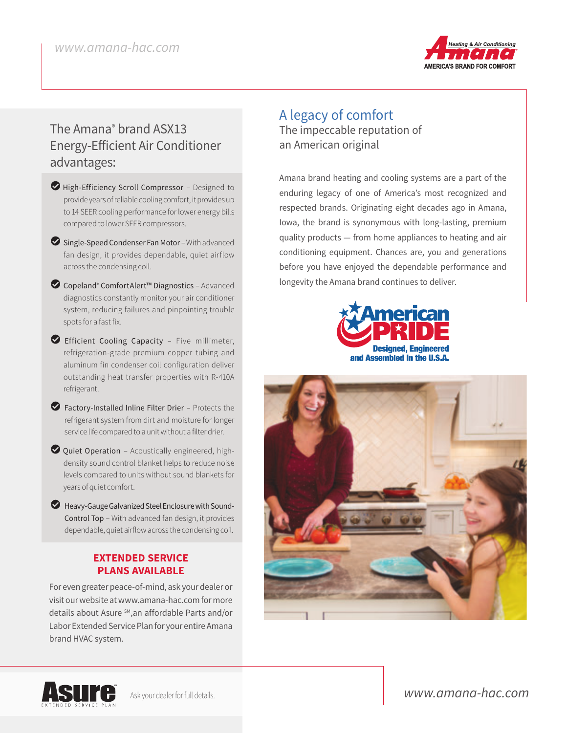

# The Amana® brand ASX13 Energy-Efficient Air Conditioner advantages:

- $\blacktriangleright$  High-Efficiency Scroll Compressor Designed to provide years of reliable cooling comfort, it provides up to 14 SEER cooling performance for lower energy bills compared to lower SEER compressors.
- $\bullet$  Single-Speed Condenser Fan Motor With advanced fan design, it provides dependable, quiet airflow across the condensing coil.
- LCopeland® ComfortAlert™ Diagnostics Advanced diagnostics constantly monitor your air conditioner system, reducing failures and pinpointing trouble spots for a fast fix.
- LEfficient Cooling Capacity Five millimeter, refrigeration-grade premium copper tubing and aluminum fin condenser coil configuration deliver outstanding heat transfer properties with R-410A refrigerant.
- $\blacktriangleright$  Factory-Installed Inline Filter Drier Protects the refrigerant system from dirt and moisture for longer service life compared to a unit without a filter drier.
- $\bullet$  Quiet Operation Acoustically engineered, highdensity sound control blanket helps to reduce noise levels compared to units without sound blankets for years of quiet comfort.
- $\blacktriangleright$  Heavy-Gauge Galvanized Steel Enclosure with Sound-Control Top – With advanced fan design, it provides dependable, quiet airflow across the condensing coil.

#### **EXTENDED SERVICE PLANS AVAILABLE**

For even greater peace-of-mind, ask your dealer or visit our website at www.amana-hac.com for more details about Asure SM,an affordable Parts and/or Labor Extended Service Plan for your entire Amana brand HVAC system.

### A legacy of comfort The impeccable reputation of an American original

Amana brand heating and cooling systems are a part of the enduring legacy of one of America's most recognized and respected brands. Originating eight decades ago in Amana, Iowa, the brand is synonymous with long-lasting, premium quality products — from home appliances to heating and air conditioning equipment. Chances are, you and generations before you have enjoyed the dependable performance and longevity the Amana brand continues to deliver.